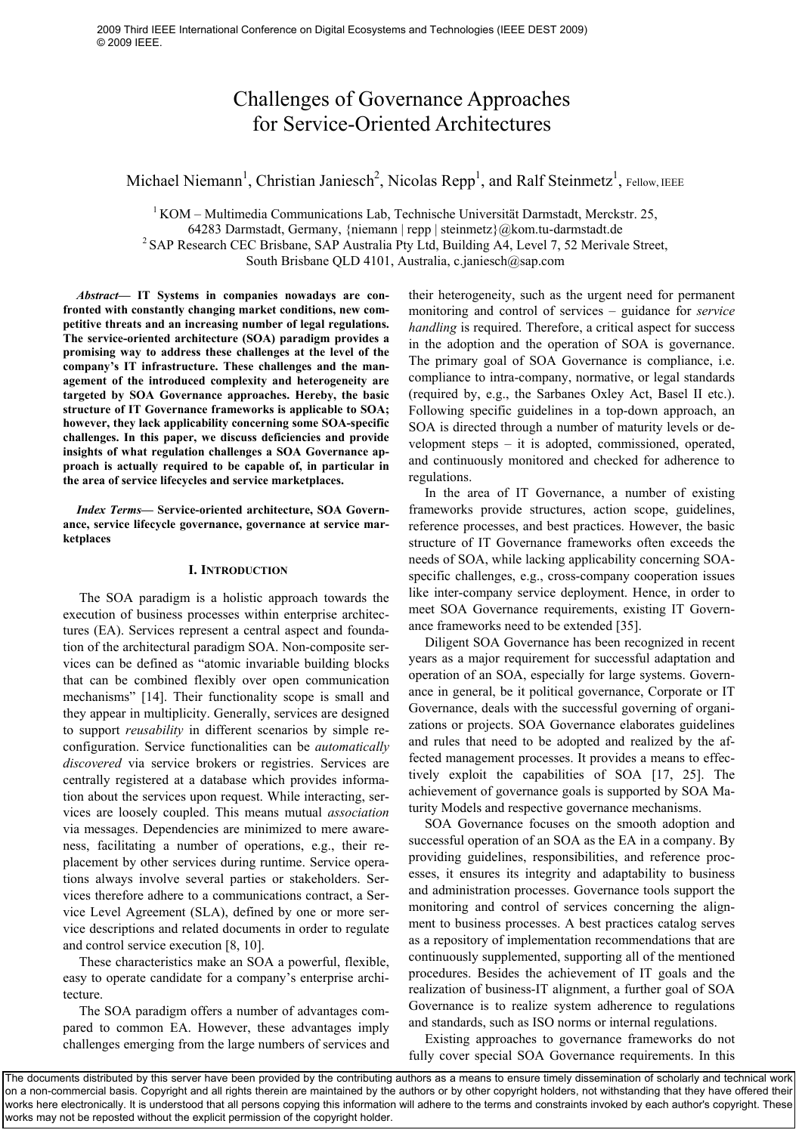# Challenges of Governance Approaches for Service-Oriented Architectures

Michael Niemann<sup>1</sup>, Christian Janiesch<sup>2</sup>, Nicolas Repp<sup>1</sup>, and Ralf Steinmetz<sup>1</sup>, Fellow, IEEE

<sup>1</sup> KOM – Multimedia Communications Lab, Technische Universität Darmstadt, Merckstr. 25, 64283 Darmstadt, Germany, {niemann | repp | steinmetz}@kom.tu-darmstadt.de <sup>2</sup> SAP Research CEC Brisbane, SAP Australia Pty Ltd, Building A4, Level 7, 52 Merivale Street, South Brisbane QLD 4101, Australia, c.janiesch@sap.com

*Abstract***— IT Systems in companies nowadays are confronted with constantly changing market conditions, new competitive threats and an increasing number of legal regulations. The service-oriented architecture (SOA) paradigm provides a promising way to address these challenges at the level of the company's IT infrastructure. These challenges and the management of the introduced complexity and heterogeneity are targeted by SOA Governance approaches. Hereby, the basic structure of IT Governance frameworks is applicable to SOA; however, they lack applicability concerning some SOA-specific challenges. In this paper, we discuss deficiencies and provide insights of what regulation challenges a SOA Governance approach is actually required to be capable of, in particular in the area of service lifecycles and service marketplaces.** 

*Index Terms***— Service-oriented architecture, SOA Governance, service lifecycle governance, governance at service marketplaces** 

## **I. INTRODUCTION**

The SOA paradigm is a holistic approach towards the execution of business processes within enterprise architectures (EA). Services represent a central aspect and foundation of the architectural paradigm SOA. Non-composite services can be defined as "atomic invariable building blocks that can be combined flexibly over open communication mechanisms" [14]. Their functionality scope is small and they appear in multiplicity. Generally, services are designed to support *reusability* in different scenarios by simple reconfiguration. Service functionalities can be *automatically discovered* via service brokers or registries. Services are centrally registered at a database which provides information about the services upon request. While interacting, services are loosely coupled. This means mutual *association* via messages. Dependencies are minimized to mere awareness, facilitating a number of operations, e.g., their replacement by other services during runtime. Service operations always involve several parties or stakeholders. Services therefore adhere to a communications contract, a Service Level Agreement (SLA), defined by one or more service descriptions and related documents in order to regulate and control service execution [8, 10].

These characteristics make an SOA a powerful, flexible, easy to operate candidate for a company's enterprise architecture.

The SOA paradigm offers a number of advantages compared to common EA. However, these advantages imply challenges emerging from the large numbers of services and their heterogeneity, such as the urgent need for permanent monitoring and control of services – guidance for *service handling* is required. Therefore, a critical aspect for success in the adoption and the operation of SOA is governance. The primary goal of SOA Governance is compliance, i.e. compliance to intra-company, normative, or legal standards (required by, e.g., the Sarbanes Oxley Act, Basel II etc.). Following specific guidelines in a top-down approach, an SOA is directed through a number of maturity levels or development steps – it is adopted, commissioned, operated, and continuously monitored and checked for adherence to regulations.

In the area of IT Governance, a number of existing frameworks provide structures, action scope, guidelines, reference processes, and best practices. However, the basic structure of IT Governance frameworks often exceeds the needs of SOA, while lacking applicability concerning SOAspecific challenges, e.g., cross-company cooperation issues like inter-company service deployment. Hence, in order to meet SOA Governance requirements, existing IT Governance frameworks need to be extended [35].

Diligent SOA Governance has been recognized in recent years as a major requirement for successful adaptation and operation of an SOA, especially for large systems. Governance in general, be it political governance, Corporate or IT Governance, deals with the successful governing of organizations or projects. SOA Governance elaborates guidelines and rules that need to be adopted and realized by the affected management processes. It provides a means to effectively exploit the capabilities of SOA [17, 25]. The achievement of governance goals is supported by SOA Maturity Models and respective governance mechanisms.

SOA Governance focuses on the smooth adoption and successful operation of an SOA as the EA in a company. By providing guidelines, responsibilities, and reference processes, it ensures its integrity and adaptability to business and administration processes. Governance tools support the monitoring and control of services concerning the alignment to business processes. A best practices catalog serves as a repository of implementation recommendations that are continuously supplemented, supporting all of the mentioned procedures. Besides the achievement of IT goals and the realization of business-IT alignment, a further goal of SOA Governance is to realize system adherence to regulations and standards, such as ISO norms or internal regulations.

Existing approaches to governance frameworks do not fully cover special SOA Governance requirements. In this

on a non-commercial basis. Copyright and all rights therein are maintained by the authors or by other copyright holders, not withstanding that they have offered their The documents distributed by this server have been provided by the contributing authors as a means to ensure timely dissemination of scholarly and technical work works here electronically. It is understood that all persons copying this information will adhere to the terms and constraints invoked by each author's copyright. These works may not be reposted without the explicit permission of the copyright holder.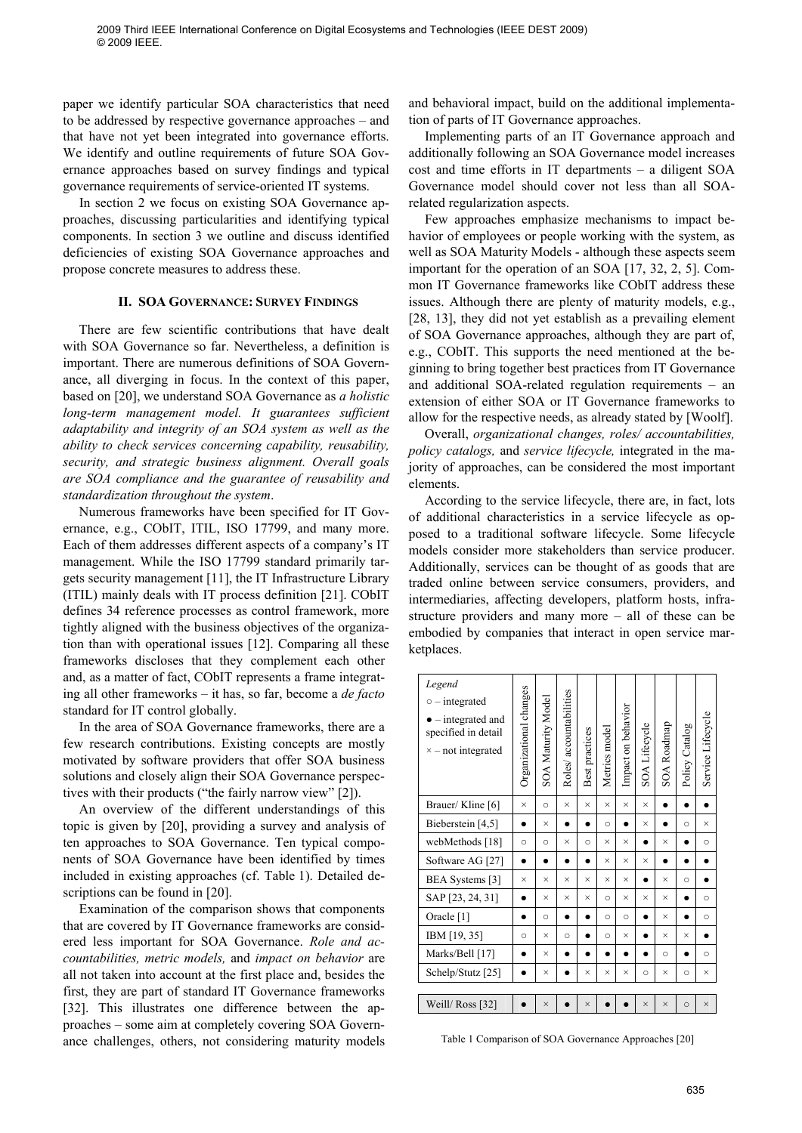paper we identify particular SOA characteristics that need to be addressed by respective governance approaches – and that have not yet been integrated into governance efforts. We identify and outline requirements of future SOA Governance approaches based on survey findings and typical governance requirements of service-oriented IT systems.

In section 2 we focus on existing SOA Governance approaches, discussing particularities and identifying typical components. In section 3 we outline and discuss identified deficiencies of existing SOA Governance approaches and propose concrete measures to address these.

## **II. SOA GOVERNANCE: SURVEY FINDINGS**

There are few scientific contributions that have dealt with SOA Governance so far. Nevertheless, a definition is important. There are numerous definitions of SOA Governance, all diverging in focus. In the context of this paper, based on [20], we understand SOA Governance as *a holistic long-term management model. It guarantees sufficient adaptability and integrity of an SOA system as well as the ability to check services concerning capability, reusability, security, and strategic business alignment. Overall goals are SOA compliance and the guarantee of reusability and standardization throughout the system*.

Numerous frameworks have been specified for IT Governance, e.g., CObIT, ITIL, ISO 17799, and many more. Each of them addresses different aspects of a company's IT management. While the ISO 17799 standard primarily targets security management [11], the IT Infrastructure Library (ITIL) mainly deals with IT process definition [21]. CObIT defines 34 reference processes as control framework, more tightly aligned with the business objectives of the organization than with operational issues [12]. Comparing all these frameworks discloses that they complement each other and, as a matter of fact, CObIT represents a frame integrating all other frameworks – it has, so far, become a *de facto* standard for IT control globally.

In the area of SOA Governance frameworks, there are a few research contributions. Existing concepts are mostly motivated by software providers that offer SOA business solutions and closely align their SOA Governance perspectives with their products ("the fairly narrow view" [2]).

An overview of the different understandings of this topic is given by [20], providing a survey and analysis of ten approaches to SOA Governance. Ten typical components of SOA Governance have been identified by times included in existing approaches (cf. Table 1). Detailed descriptions can be found in [20].

Examination of the comparison shows that components that are covered by IT Governance frameworks are considered less important for SOA Governance. *Role and accountabilities, metric models,* and *impact on behavior* are all not taken into account at the first place and, besides the first, they are part of standard IT Governance frameworks [32]. This illustrates one difference between the approaches – some aim at completely covering SOA Governance challenges, others, not considering maturity models

and behavioral impact, build on the additional implementation of parts of IT Governance approaches.

Implementing parts of an IT Governance approach and additionally following an SOA Governance model increases cost and time efforts in IT departments – a diligent SOA Governance model should cover not less than all SOArelated regularization aspects.

Few approaches emphasize mechanisms to impact behavior of employees or people working with the system, as well as SOA Maturity Models - although these aspects seem important for the operation of an SOA [17, 32, 2, 5]. Common IT Governance frameworks like CObIT address these issues. Although there are plenty of maturity models, e.g., [28, 13], they did not yet establish as a prevailing element of SOA Governance approaches, although they are part of, e.g., CObIT. This supports the need mentioned at the beginning to bring together best practices from IT Governance and additional SOA-related regulation requirements – an extension of either SOA or IT Governance frameworks to allow for the respective needs, as already stated by [Woolf].

Overall, *organizational changes, roles/ accountabilities, policy catalogs,* and *service lifecycle,* integrated in the majority of approaches, can be considered the most important elements.

According to the service lifecycle, there are, in fact, lots of additional characteristics in a service lifecycle as opposed to a traditional software lifecycle. Some lifecycle models consider more stakeholders than service producer. Additionally, services can be thought of as goods that are traded online between service consumers, providers, and intermediaries, affecting developers, platform hosts, infrastructure providers and many more – all of these can be embodied by companies that interact in open service marketplaces.

| Legend<br>$\circ$ – integrated<br>$\bullet$ – integrated and<br>specified in detail<br>$\times$ – not integrated | Organizational changes | SOA Maturity Model | Roles/accountabilities | Best practices | Metrics model | Impact on behavior | SOA Lifecycle | SOA Roadmap | Policy Catalog | Service Lifecycle |
|------------------------------------------------------------------------------------------------------------------|------------------------|--------------------|------------------------|----------------|---------------|--------------------|---------------|-------------|----------------|-------------------|
| Brauer/Kline [6]                                                                                                 | ×                      | $\circ$            | $\times$               | $\times$       | $\times$      | $\times$           | $\times$      |             |                |                   |
| Bieberstein [4,5]                                                                                                |                        | ×                  |                        |                | $\circ$       |                    | ×             |             | $\circ$        | ×                 |
| webMethods [18]                                                                                                  | $\circ$                | $\circ$            | ×                      | $\circ$        | ×             | $\times$           |               | ×           |                | $\circ$           |
| Software AG [27]                                                                                                 |                        |                    | $\bullet$              |                | $\times$      | ×                  | ×             |             |                |                   |
| BEA Systems [3]                                                                                                  | $\times$               | ×                  | $\times$               | $\times$       | $\times$      | $\times$           |               | $\times$    | $\circ$        |                   |
| SAP [23, 24, 31]                                                                                                 |                        | ×                  | $\times$               | $\times$       | $\circ$       | $\times$           | $\times$      | ×           |                | $\circ$           |
| Oracle [1]                                                                                                       |                        | $\circ$            |                        |                | $\circ$       | $\circ$            |               | ×           |                | $\circ$           |
| IBM [19, 35]                                                                                                     | $\circ$                | ×                  | $\circ$                |                | $\circ$       | $\times$           |               | ×           | ×              |                   |
| Marks/Bell [17]                                                                                                  |                        | ×                  |                        |                |               |                    |               | $\circ$     |                | $\circ$           |
| Schelp/Stutz [25]                                                                                                |                        | ×                  |                        | $\times$       | $\times$      | $\times$           | $\circ$       | $\times$    | $\circ$        | ×                 |
|                                                                                                                  |                        |                    |                        |                |               |                    |               |             |                |                   |
| Weill/Ross [32]                                                                                                  |                        | $\times$           |                        | $\times$       |               |                    | $\times$      | $\times$    | $\circ$        | $\times$          |

Table 1 Comparison of SOA Governance Approaches [20]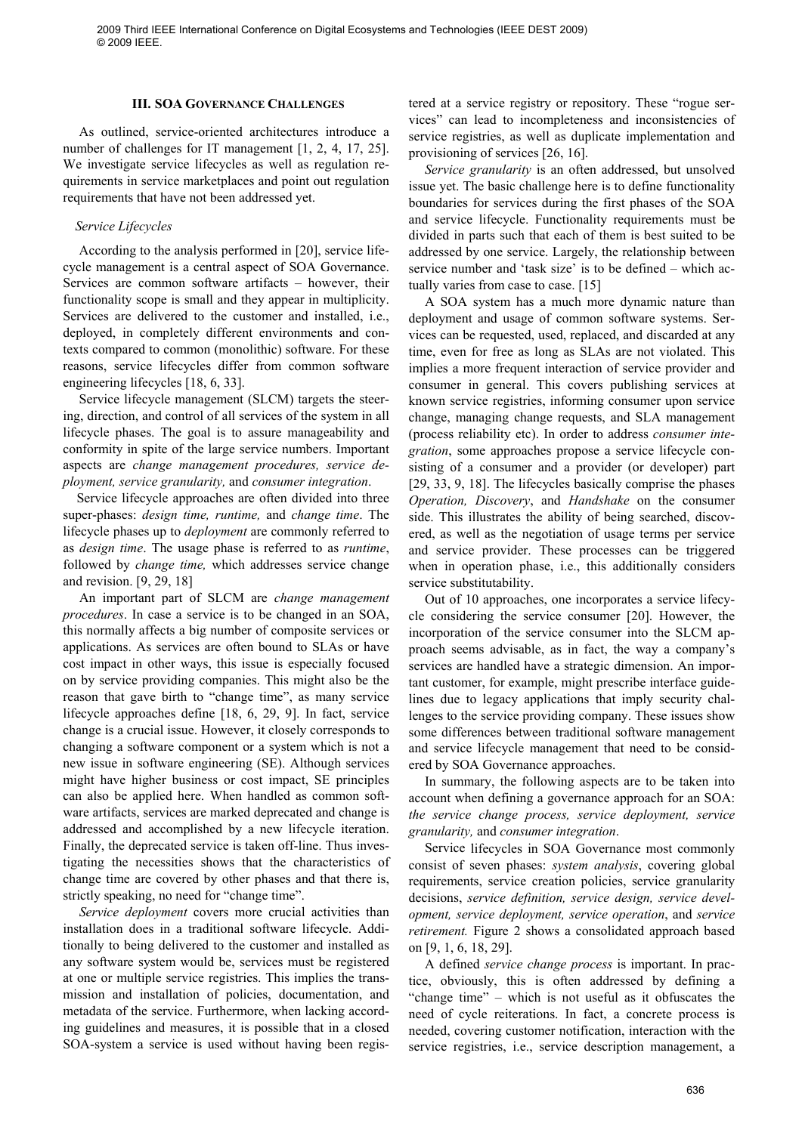### **III. SOA GOVERNANCE CHALLENGES**

As outlined, service-oriented architectures introduce a number of challenges for IT management [1, 2, 4, 17, 25]. We investigate service lifecycles as well as regulation requirements in service marketplaces and point out regulation requirements that have not been addressed yet.

## *Service Lifecycles*

According to the analysis performed in [20], service lifecycle management is a central aspect of SOA Governance. Services are common software artifacts – however, their functionality scope is small and they appear in multiplicity. Services are delivered to the customer and installed, i.e., deployed, in completely different environments and contexts compared to common (monolithic) software. For these reasons, service lifecycles differ from common software engineering lifecycles [18, 6, 33].

Service lifecycle management (SLCM) targets the steering, direction, and control of all services of the system in all lifecycle phases. The goal is to assure manageability and conformity in spite of the large service numbers. Important aspects are *change management procedures, service deployment, service granularity,* and *consumer integration*.

Service lifecycle approaches are often divided into three super-phases: *design time, runtime,* and *change time*. The lifecycle phases up to *deployment* are commonly referred to as *design time*. The usage phase is referred to as *runtime*, followed by *change time,* which addresses service change and revision. [9, 29, 18]

An important part of SLCM are *change management procedures*. In case a service is to be changed in an SOA, this normally affects a big number of composite services or applications. As services are often bound to SLAs or have cost impact in other ways, this issue is especially focused on by service providing companies. This might also be the reason that gave birth to "change time", as many service lifecycle approaches define [18, 6, 29, 9]. In fact, service change is a crucial issue. However, it closely corresponds to changing a software component or a system which is not a new issue in software engineering (SE). Although services might have higher business or cost impact, SE principles can also be applied here. When handled as common software artifacts, services are marked deprecated and change is addressed and accomplished by a new lifecycle iteration. Finally, the deprecated service is taken off-line. Thus investigating the necessities shows that the characteristics of change time are covered by other phases and that there is, strictly speaking, no need for "change time".

*Service deployment* covers more crucial activities than installation does in a traditional software lifecycle. Additionally to being delivered to the customer and installed as any software system would be, services must be registered at one or multiple service registries. This implies the transmission and installation of policies, documentation, and metadata of the service. Furthermore, when lacking according guidelines and measures, it is possible that in a closed SOA-system a service is used without having been registered at a service registry or repository. These "rogue services" can lead to incompleteness and inconsistencies of service registries, as well as duplicate implementation and provisioning of services [26, 16].

*Service granularity* is an often addressed, but unsolved issue yet. The basic challenge here is to define functionality boundaries for services during the first phases of the SOA and service lifecycle. Functionality requirements must be divided in parts such that each of them is best suited to be addressed by one service. Largely, the relationship between service number and 'task size' is to be defined – which actually varies from case to case. [15]

A SOA system has a much more dynamic nature than deployment and usage of common software systems. Services can be requested, used, replaced, and discarded at any time, even for free as long as SLAs are not violated. This implies a more frequent interaction of service provider and consumer in general. This covers publishing services at known service registries, informing consumer upon service change, managing change requests, and SLA management (process reliability etc). In order to address *consumer integration*, some approaches propose a service lifecycle consisting of a consumer and a provider (or developer) part [29, 33, 9, 18]. The lifecycles basically comprise the phases *Operation, Discovery*, and *Handshake* on the consumer side. This illustrates the ability of being searched, discovered, as well as the negotiation of usage terms per service and service provider. These processes can be triggered when in operation phase, i.e., this additionally considers service substitutability.

Out of 10 approaches, one incorporates a service lifecycle considering the service consumer [20]. However, the incorporation of the service consumer into the SLCM approach seems advisable, as in fact, the way a company's services are handled have a strategic dimension. An important customer, for example, might prescribe interface guidelines due to legacy applications that imply security challenges to the service providing company. These issues show some differences between traditional software management and service lifecycle management that need to be considered by SOA Governance approaches.

In summary, the following aspects are to be taken into account when defining a governance approach for an SOA: *the service change process, service deployment, service granularity,* and *consumer integration*.

Service lifecycles in SOA Governance most commonly consist of seven phases: *system analysis*, covering global requirements, service creation policies, service granularity decisions, *service definition, service design, service development, service deployment, service operation*, and *service retirement.* Figure 2 shows a consolidated approach based on [9, 1, 6, 18, 29].

A defined *service change process* is important. In practice, obviously, this is often addressed by defining a "change time" – which is not useful as it obfuscates the need of cycle reiterations. In fact, a concrete process is needed, covering customer notification, interaction with the service registries, i.e., service description management, a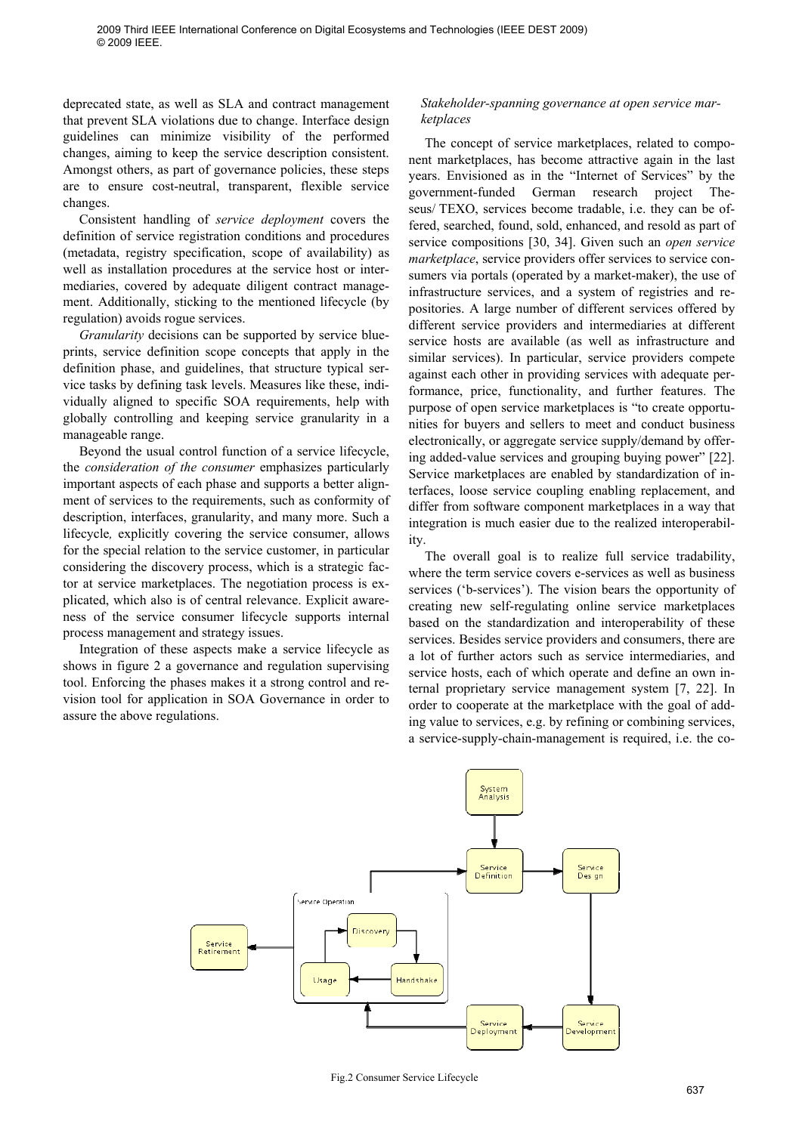deprecated state, as well as SLA and contract management that prevent SLA violations due to change. Interface design guidelines can minimize visibility of the performed changes, aiming to keep the service description consistent. Amongst others, as part of governance policies, these steps are to ensure cost-neutral, transparent, flexible service changes.

Consistent handling of *service deployment* covers the definition of service registration conditions and procedures (metadata, registry specification, scope of availability) as well as installation procedures at the service host or intermediaries, covered by adequate diligent contract management. Additionally, sticking to the mentioned lifecycle (by regulation) avoids rogue services.

*Granularity* decisions can be supported by service blueprints, service definition scope concepts that apply in the definition phase, and guidelines, that structure typical service tasks by defining task levels. Measures like these, individually aligned to specific SOA requirements, help with globally controlling and keeping service granularity in a manageable range.

Beyond the usual control function of a service lifecycle, the *consideration of the consumer* emphasizes particularly important aspects of each phase and supports a better alignment of services to the requirements, such as conformity of description, interfaces, granularity, and many more. Such a lifecycle*,* explicitly covering the service consumer, allows for the special relation to the service customer, in particular considering the discovery process, which is a strategic factor at service marketplaces. The negotiation process is explicated, which also is of central relevance. Explicit awareness of the service consumer lifecycle supports internal process management and strategy issues.

Integration of these aspects make a service lifecycle as shows in figure 2 a governance and regulation supervising tool. Enforcing the phases makes it a strong control and revision tool for application in SOA Governance in order to assure the above regulations.

## *Stakeholder-spanning governance at open service marketplaces*

The concept of service marketplaces, related to component marketplaces, has become attractive again in the last years. Envisioned as in the "Internet of Services" by the government-funded German research project Theseus/ TEXO, services become tradable, i.e. they can be offered, searched, found, sold, enhanced, and resold as part of service compositions [30, 34]. Given such an *open service marketplace*, service providers offer services to service consumers via portals (operated by a market-maker), the use of infrastructure services, and a system of registries and repositories. A large number of different services offered by different service providers and intermediaries at different service hosts are available (as well as infrastructure and similar services). In particular, service providers compete against each other in providing services with adequate performance, price, functionality, and further features. The purpose of open service marketplaces is "to create opportunities for buyers and sellers to meet and conduct business electronically, or aggregate service supply/demand by offering added-value services and grouping buying power" [22]. Service marketplaces are enabled by standardization of interfaces, loose service coupling enabling replacement, and differ from software component marketplaces in a way that integration is much easier due to the realized interoperability.

The overall goal is to realize full service tradability, where the term service covers e-services as well as business services ('b-services'). The vision bears the opportunity of creating new self-regulating online service marketplaces based on the standardization and interoperability of these services. Besides service providers and consumers, there are a lot of further actors such as service intermediaries, and service hosts, each of which operate and define an own internal proprietary service management system [7, 22]. In order to cooperate at the marketplace with the goal of adding value to services, e.g. by refining or combining services, a service-supply-chain-management is required, i.e. the co-



Fig.2 Consumer Service Lifecycle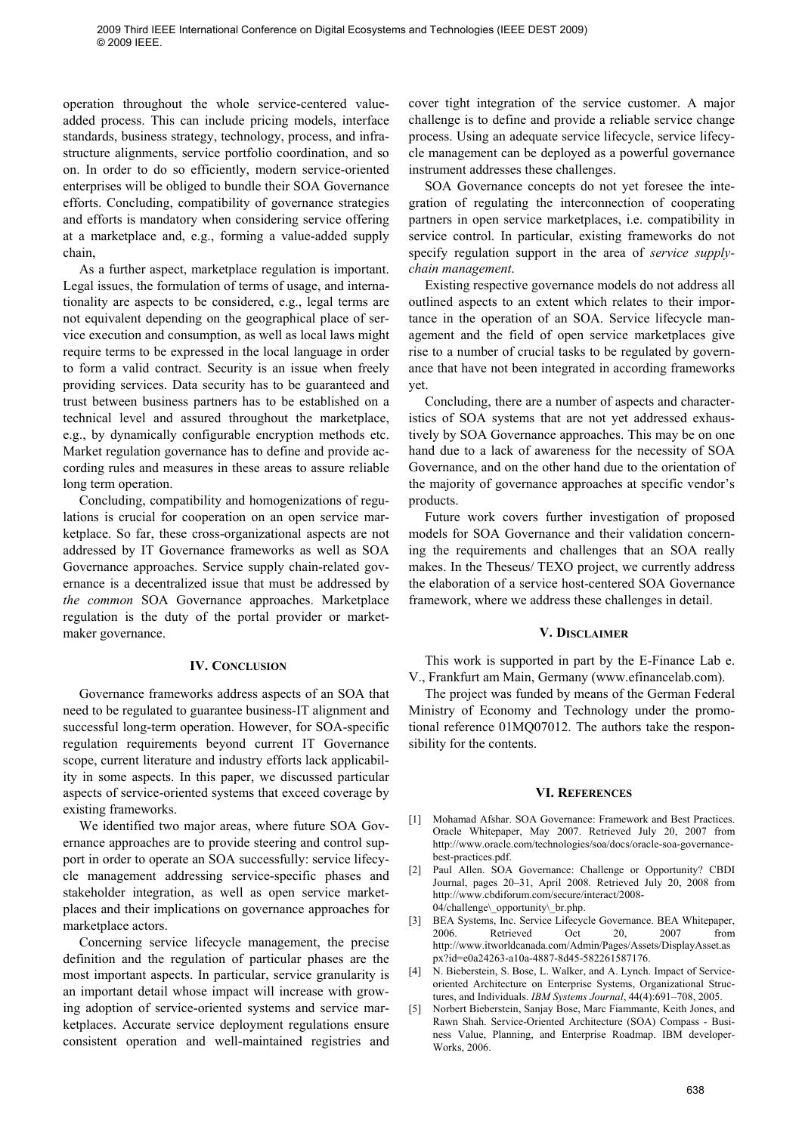operation throughout the whole service-centered valueadded process. This can include pricing models, interface standards, business strategy, technology, process, and infrastructure alignments, service portfolio coordination, and so on. In order to do so efficiently, modern service-oriented enterprises will be obliged to bundle their SOA Governance efforts. Concluding, compatibility of governance strategies and efforts is mandatory when considering service offering at a marketplace and, e.g., forming a value-added supply chain,

As a further aspect, marketplace regulation is important. Legal issues, the formulation of terms of usage, and internationality are aspects to be considered, e.g., legal terms are not equivalent depending on the geographical place of service execution and consumption, as well as local laws might require terms to be expressed in the local language in order to form a valid contract. Security is an issue when freely providing services. Data security has to be guaranteed and trust between business partners has to be established on a technical level and assured throughout the marketplace, e.g., by dynamically configurable encryption methods etc. Market regulation governance has to define and provide according rules and measures in these areas to assure reliable long term operation.

Concluding, compatibility and homogenizations of regulations is crucial for cooperation on an open service marketplace. So far, these cross-organizational aspects are not addressed by IT Governance frameworks as well as SOA Governance approaches. Service supply chain-related governance is a decentralized issue that must be addressed by *the common* SOA Governance approaches. Marketplace regulation is the duty of the portal provider or marketmaker governance.

#### **IV. CONCLUSION**

Governance frameworks address aspects of an SOA that need to be regulated to guarantee business-IT alignment and successful long-term operation. However, for SOA-specific regulation requirements beyond current IT Governance scope, current literature and industry efforts lack applicability in some aspects. In this paper, we discussed particular aspects of service-oriented systems that exceed coverage by existing frameworks.

We identified two major areas, where future SOA Governance approaches are to provide steering and control support in order to operate an SOA successfully: service lifecycle management addressing service-specific phases and stakeholder integration, as well as open service marketplaces and their implications on governance approaches for marketplace actors.

Concerning service lifecycle management, the precise definition and the regulation of particular phases are the most important aspects. In particular, service granularity is an important detail whose impact will increase with growing adoption of service-oriented systems and service marketplaces. Accurate service deployment regulations ensure consistent operation and well-maintained registries and cover tight integration of the service customer. A major challenge is to define and provide a reliable service change process. Using an adequate service lifecycle, service lifecycle management can be deployed as a powerful governance instrument addresses these challenges.

SOA Governance concepts do not yet foresee the integration of regulating the interconnection of cooperating partners in open service marketplaces, i.e. compatibility in service control. In particular, existing frameworks do not specify regulation support in the area of *service supplychain management*.

Existing respective governance models do not address all outlined aspects to an extent which relates to their importance in the operation of an SOA. Service lifecycle management and the field of open service marketplaces give rise to a number of crucial tasks to be regulated by governance that have not been integrated in according frameworks yet.

Concluding, there are a number of aspects and characteristics of SOA systems that are not yet addressed exhaustively by SOA Governance approaches. This may be on one hand due to a lack of awareness for the necessity of SOA Governance, and on the other hand due to the orientation of the majority of governance approaches at specific vendor's products.

Future work covers further investigation of proposed models for SOA Governance and their validation concerning the requirements and challenges that an SOA really makes. In the Theseus/ TEXO project, we currently address the elaboration of a service host-centered SOA Governance framework, where we address these challenges in detail.

#### **V. DISCLAIMER**

This work is supported in part by the E-Finance Lab e. V., Frankfurt am Main, Germany (www.efinancelab.com).

The project was funded by means of the German Federal Ministry of Economy and Technology under the promotional reference 01MQ07012. The authors take the responsibility for the contents.

### **VI. REFERENCES**

- [1] Mohamad Afshar. SOA Governance: Framework and Best Practices. Oracle Whitepaper, May 2007. Retrieved July 20, 2007 from http://www.oracle.com/technologies/soa/docs/oracle-soa-governancebest-practices.pdf.
- [2] Paul Allen. SOA Governance: Challenge or Opportunity? CBDI Journal, pages 20–31, April 2008. Retrieved July 20, 2008 from http://www.cbdiforum.com/secure/interact/2008- 04/challenge\\_opportunity\\_br.php.
- [3] BEA Systems, Inc. Service Lifecycle Governance. BEA Whitepaper, 2006. Retrieved Oct 20, 2007 from http://www.itworldcanada.com/Admin/Pages/Assets/DisplayAsset.as px?id=e0a24263-a10a-4887-8d45-582261587176.
- [4] N. Bieberstein, S. Bose, L. Walker, and A. Lynch. Impact of Serviceoriented Architecture on Enterprise Systems, Organizational Structures, and Individuals. *IBM Systems Journal*, 44(4):691–708, 2005.
- [5] Norbert Bieberstein, Sanjay Bose, Marc Fiammante, Keith Jones, and Rawn Shah. Service-Oriented Architecture (SOA) Compass - Business Value, Planning, and Enterprise Roadmap. IBM developer-Works, 2006.